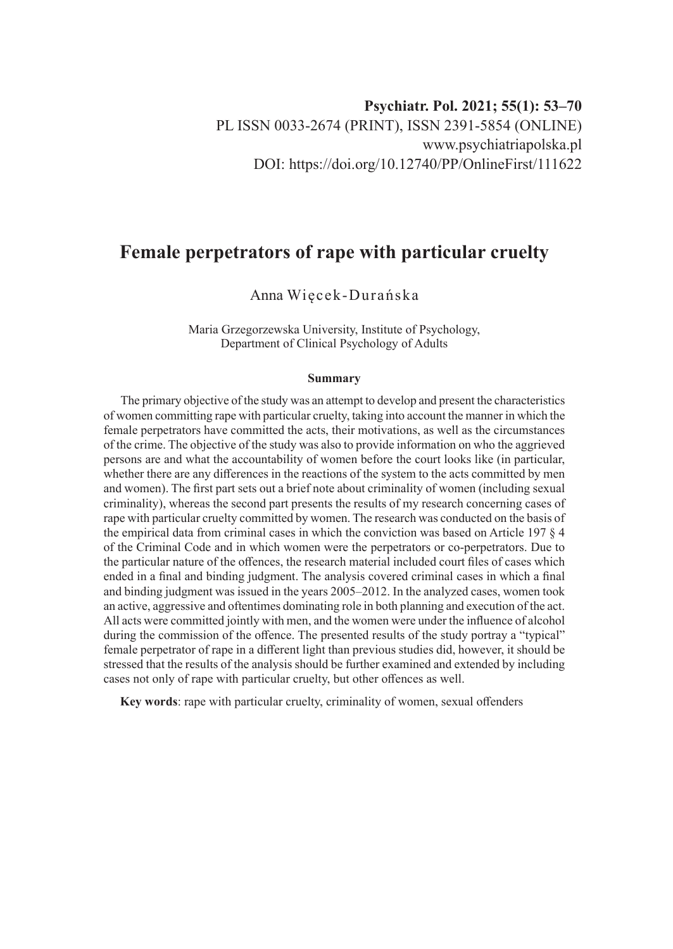# **Female perpetrators of rape with particular cruelty**

## Anna Więcek-Durańska

Maria Grzegorzewska University, Institute of Psychology, Department of Clinical Psychology of Adults

#### **Summary**

The primary objective of the study was an attempt to develop and present the characteristics of women committing rape with particular cruelty, taking into account the manner in which the female perpetrators have committed the acts, their motivations, as well as the circumstances of the crime. The objective of the study was also to provide information on who the aggrieved persons are and what the accountability of women before the court looks like (in particular, whether there are any differences in the reactions of the system to the acts committed by men and women). The first part sets out a brief note about criminality of women (including sexual criminality), whereas the second part presents the results of my research concerning cases of rape with particular cruelty committed by women. The research was conducted on the basis of the empirical data from criminal cases in which the conviction was based on Article 197 § 4 of the Criminal Code and in which women were the perpetrators or co-perpetrators. Due to the particular nature of the offences, the research material included court files of cases which ended in a final and binding judgment. The analysis covered criminal cases in which a final and binding judgment was issued in the years 2005–2012. In the analyzed cases, women took an active, aggressive and oftentimes dominating role in both planning and execution of the act. All acts were committed jointly with men, and the women were under the influence of alcohol during the commission of the offence. The presented results of the study portray a "typical" female perpetrator of rape in a different light than previous studies did, however, it should be stressed that the results of the analysis should be further examined and extended by including cases not only of rape with particular cruelty, but other offences as well.

**Key words**: rape with particular cruelty, criminality of women, sexual offenders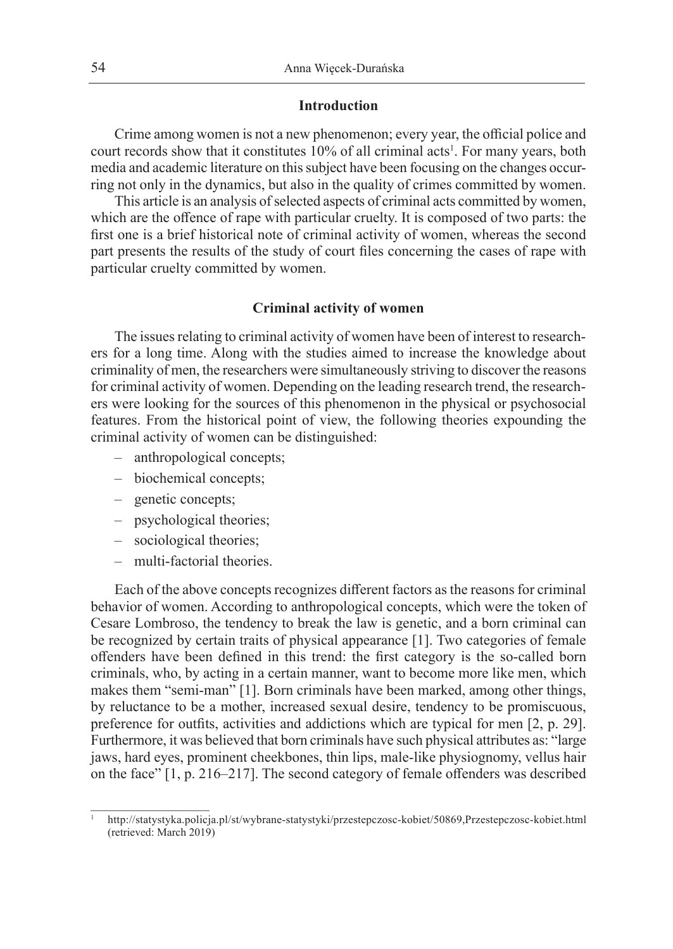#### **Introduction**

Crime among women is not a new phenomenon; every year, the official police and court records show that it constitutes 10% of all criminal acts<sup>1</sup>. For many years, both media and academic literature on this subject have been focusing on the changes occurring not only in the dynamics, but also in the quality of crimes committed by women.

This article is an analysis of selected aspects of criminal acts committed by women, which are the offence of rape with particular cruelty. It is composed of two parts: the first one is a brief historical note of criminal activity of women, whereas the second part presents the results of the study of court files concerning the cases of rape with particular cruelty committed by women.

#### **Criminal activity of women**

The issues relating to criminal activity of women have been of interest to researchers for a long time. Along with the studies aimed to increase the knowledge about criminality of men, the researchers were simultaneously striving to discover the reasons for criminal activity of women. Depending on the leading research trend, the researchers were looking for the sources of this phenomenon in the physical or psychosocial features. From the historical point of view, the following theories expounding the criminal activity of women can be distinguished:

- anthropological concepts;
- biochemical concepts;
- genetic concepts;
- psychological theories;
- sociological theories;
- multi-factorial theories.

Each of the above concepts recognizes different factors as the reasons for criminal behavior of women. According to anthropological concepts, which were the token of Cesare Lombroso, the tendency to break the law is genetic, and a born criminal can be recognized by certain traits of physical appearance [1]. Two categories of female offenders have been defined in this trend: the first category is the so-called born criminals, who, by acting in a certain manner, want to become more like men, which makes them "semi-man" [1]. Born criminals have been marked, among other things, by reluctance to be a mother, increased sexual desire, tendency to be promiscuous, preference for outfits, activities and addictions which are typical for men [2, p. 29]. Furthermore, it was believed that born criminals have such physical attributes as: "large jaws, hard eyes, prominent cheekbones, thin lips, male-like physiognomy, vellus hair on the face" [1, p. 216–217]. The second category of female offenders was described

<sup>1</sup> http://statystyka.policja.pl/st/wybrane-statystyki/przestepczosc-kobiet/50869,Przestepczosc-kobiet.html (retrieved: March 2019)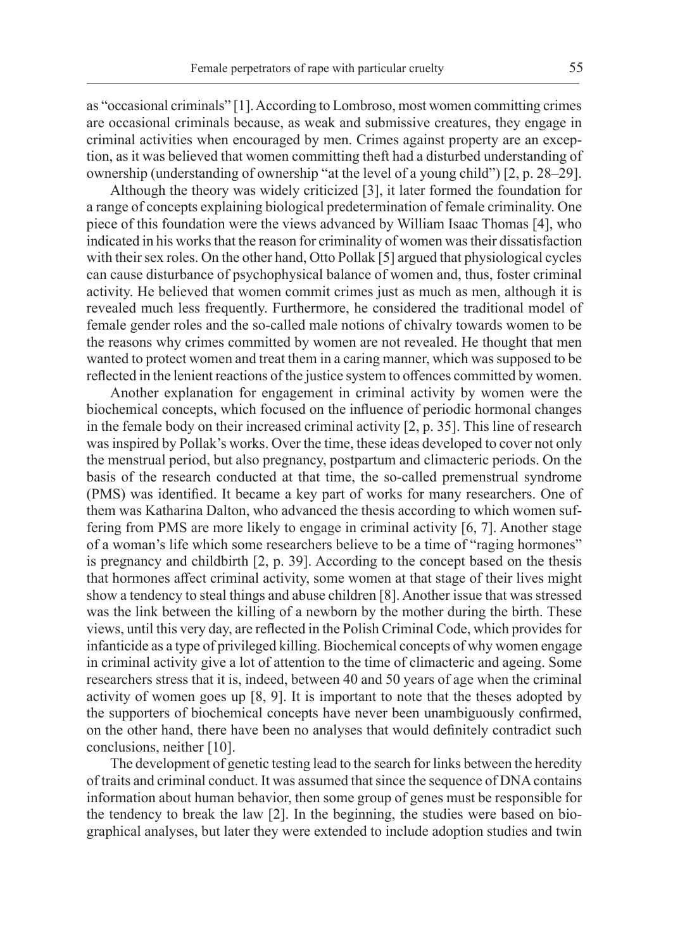as "occasional criminals" [1]. According to Lombroso, most women committing crimes are occasional criminals because, as weak and submissive creatures, they engage in criminal activities when encouraged by men. Crimes against property are an exception, as it was believed that women committing theft had a disturbed understanding of ownership (understanding of ownership "at the level of a young child") [2, p. 28–29].

Although the theory was widely criticized [3], it later formed the foundation for a range of concepts explaining biological predetermination of female criminality. One piece of this foundation were the views advanced by William Isaac Thomas [4], who indicated in his works that the reason for criminality of women was their dissatisfaction with their sex roles. On the other hand, Otto Pollak [5] argued that physiological cycles can cause disturbance of psychophysical balance of women and, thus, foster criminal activity. He believed that women commit crimes just as much as men, although it is revealed much less frequently. Furthermore, he considered the traditional model of female gender roles and the so-called male notions of chivalry towards women to be the reasons why crimes committed by women are not revealed. He thought that men wanted to protect women and treat them in a caring manner, which was supposed to be reflected in the lenient reactions of the justice system to offences committed by women.

Another explanation for engagement in criminal activity by women were the biochemical concepts, which focused on the influence of periodic hormonal changes in the female body on their increased criminal activity [2, p. 35]. This line of research was inspired by Pollak's works. Over the time, these ideas developed to cover not only the menstrual period, but also pregnancy, postpartum and climacteric periods. On the basis of the research conducted at that time, the so-called premenstrual syndrome (PMS) was identified. It became a key part of works for many researchers. One of them was Katharina Dalton, who advanced the thesis according to which women suffering from PMS are more likely to engage in criminal activity [6, 7]. Another stage of a woman's life which some researchers believe to be a time of "raging hormones" is pregnancy and childbirth [2, p. 39]. According to the concept based on the thesis that hormones affect criminal activity, some women at that stage of their lives might show a tendency to steal things and abuse children [8]. Another issue that was stressed was the link between the killing of a newborn by the mother during the birth. These views, until this very day, are reflected in the Polish Criminal Code, which provides for infanticide as a type of privileged killing. Biochemical concepts of why women engage in criminal activity give a lot of attention to the time of climacteric and ageing. Some researchers stress that it is, indeed, between 40 and 50 years of age when the criminal activity of women goes up [8, 9]. It is important to note that the theses adopted by the supporters of biochemical concepts have never been unambiguously confirmed, on the other hand, there have been no analyses that would definitely contradict such conclusions, neither [10].

The development of genetic testing lead to the search for links between the heredity of traits and criminal conduct. It was assumed that since the sequence of DNA contains information about human behavior, then some group of genes must be responsible for the tendency to break the law [2]. In the beginning, the studies were based on biographical analyses, but later they were extended to include adoption studies and twin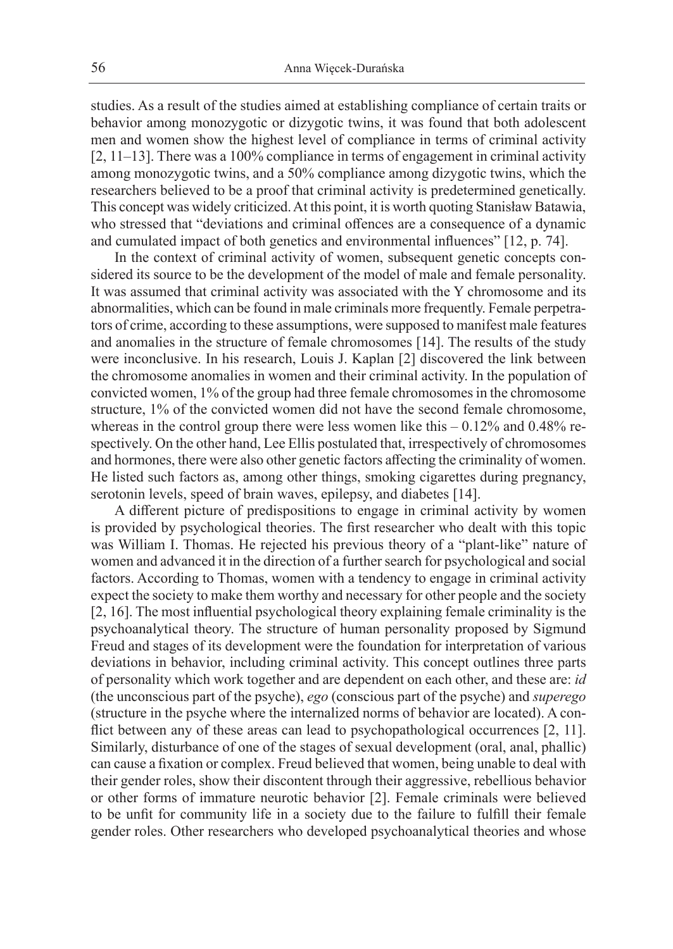studies. As a result of the studies aimed at establishing compliance of certain traits or behavior among monozygotic or dizygotic twins, it was found that both adolescent men and women show the highest level of compliance in terms of criminal activity [2, 11–13]. There was a 100% compliance in terms of engagement in criminal activity among monozygotic twins, and a 50% compliance among dizygotic twins, which the researchers believed to be a proof that criminal activity is predetermined genetically. This concept was widely criticized. At this point, it is worth quoting Stanisław Batawia, who stressed that "deviations and criminal offences are a consequence of a dynamic and cumulated impact of both genetics and environmental influences" [12, p. 74].

In the context of criminal activity of women, subsequent genetic concepts considered its source to be the development of the model of male and female personality. It was assumed that criminal activity was associated with the Y chromosome and its abnormalities, which can be found in male criminals more frequently. Female perpetrators of crime, according to these assumptions, were supposed to manifest male features and anomalies in the structure of female chromosomes [14]. The results of the study were inconclusive. In his research, Louis J. Kaplan [2] discovered the link between the chromosome anomalies in women and their criminal activity. In the population of convicted women, 1% of the group had three female chromosomes in the chromosome structure, 1% of the convicted women did not have the second female chromosome, whereas in the control group there were less women like this  $-0.12\%$  and 0.48% respectively. On the other hand, Lee Ellis postulated that, irrespectively of chromosomes and hormones, there were also other genetic factors affecting the criminality of women. He listed such factors as, among other things, smoking cigarettes during pregnancy, serotonin levels, speed of brain waves, epilepsy, and diabetes [14].

A different picture of predispositions to engage in criminal activity by women is provided by psychological theories. The first researcher who dealt with this topic was William I. Thomas. He rejected his previous theory of a "plant-like" nature of women and advanced it in the direction of a further search for psychological and social factors. According to Thomas, women with a tendency to engage in criminal activity expect the society to make them worthy and necessary for other people and the society [2, 16]. The most influential psychological theory explaining female criminality is the psychoanalytical theory. The structure of human personality proposed by Sigmund Freud and stages of its development were the foundation for interpretation of various deviations in behavior, including criminal activity. This concept outlines three parts of personality which work together and are dependent on each other, and these are: *id* (the unconscious part of the psyche), *ego* (conscious part of the psyche) and *superego* (structure in the psyche where the internalized norms of behavior are located). A conflict between any of these areas can lead to psychopathological occurrences [2, 11]. Similarly, disturbance of one of the stages of sexual development (oral, anal, phallic) can cause a fixation or complex. Freud believed that women, being unable to deal with their gender roles, show their discontent through their aggressive, rebellious behavior or other forms of immature neurotic behavior [2]. Female criminals were believed to be unfit for community life in a society due to the failure to fulfill their female gender roles. Other researchers who developed psychoanalytical theories and whose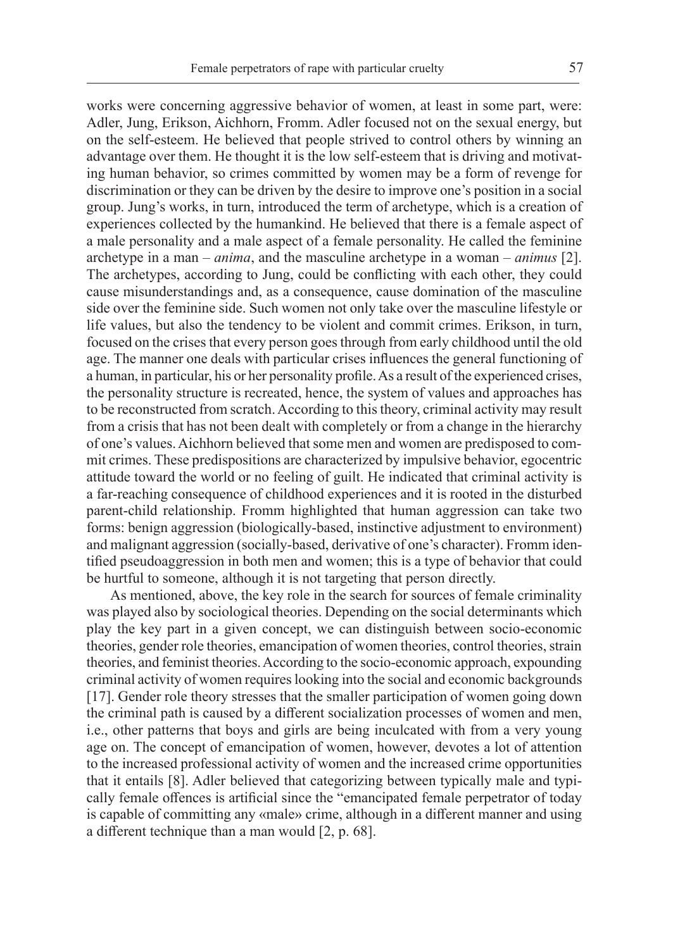works were concerning aggressive behavior of women, at least in some part, were: Adler, Jung, Erikson, Aichhorn, Fromm. Adler focused not on the sexual energy, but on the self-esteem. He believed that people strived to control others by winning an advantage over them. He thought it is the low self-esteem that is driving and motivating human behavior, so crimes committed by women may be a form of revenge for discrimination or they can be driven by the desire to improve one's position in a social group. Jung's works, in turn, introduced the term of archetype, which is a creation of experiences collected by the humankind. He believed that there is a female aspect of a male personality and a male aspect of a female personality. He called the feminine archetype in a man – *anima*, and the masculine archetype in a woman – *animus* [2]. The archetypes, according to Jung, could be conflicting with each other, they could cause misunderstandings and, as a consequence, cause domination of the masculine side over the feminine side. Such women not only take over the masculine lifestyle or life values, but also the tendency to be violent and commit crimes. Erikson, in turn, focused on the crises that every person goes through from early childhood until the old age. The manner one deals with particular crises influences the general functioning of a human, in particular, his or her personality profile. As a result of the experienced crises, the personality structure is recreated, hence, the system of values and approaches has to be reconstructed from scratch. According to this theory, criminal activity may result from a crisis that has not been dealt with completely or from a change in the hierarchy of one's values. Aichhorn believed that some men and women are predisposed to commit crimes. These predispositions are characterized by impulsive behavior, egocentric attitude toward the world or no feeling of guilt. He indicated that criminal activity is a far-reaching consequence of childhood experiences and it is rooted in the disturbed parent-child relationship. Fromm highlighted that human aggression can take two forms: benign aggression (biologically-based, instinctive adjustment to environment) and malignant aggression (socially-based, derivative of one's character). Fromm identified pseudoaggression in both men and women; this is a type of behavior that could be hurtful to someone, although it is not targeting that person directly.

As mentioned, above, the key role in the search for sources of female criminality was played also by sociological theories. Depending on the social determinants which play the key part in a given concept, we can distinguish between socio-economic theories, gender role theories, emancipation of women theories, control theories, strain theories, and feminist theories. According to the socio-economic approach, expounding criminal activity of women requires looking into the social and economic backgrounds [17]. Gender role theory stresses that the smaller participation of women going down the criminal path is caused by a different socialization processes of women and men, i.e., other patterns that boys and girls are being inculcated with from a very young age on. The concept of emancipation of women, however, devotes a lot of attention to the increased professional activity of women and the increased crime opportunities that it entails [8]. Adler believed that categorizing between typically male and typically female offences is artificial since the "emancipated female perpetrator of today is capable of committing any «male» crime, although in a different manner and using a different technique than a man would [2, p. 68].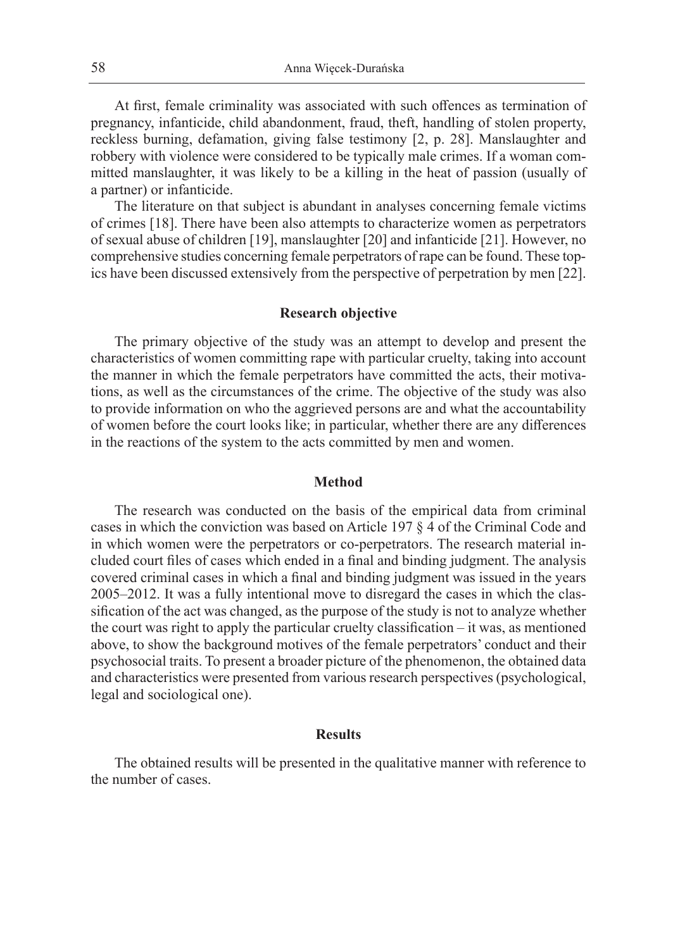At first, female criminality was associated with such offences as termination of pregnancy, infanticide, child abandonment, fraud, theft, handling of stolen property, reckless burning, defamation, giving false testimony [2, p. 28]. Manslaughter and robbery with violence were considered to be typically male crimes. If a woman committed manslaughter, it was likely to be a killing in the heat of passion (usually of a partner) or infanticide.

The literature on that subject is abundant in analyses concerning female victims of crimes [18]. There have been also attempts to characterize women as perpetrators of sexual abuse of children [19], manslaughter [20] and infanticide [21]. However, no comprehensive studies concerning female perpetrators of rape can be found. These topics have been discussed extensively from the perspective of perpetration by men [22].

#### **Research objective**

The primary objective of the study was an attempt to develop and present the characteristics of women committing rape with particular cruelty, taking into account the manner in which the female perpetrators have committed the acts, their motivations, as well as the circumstances of the crime. The objective of the study was also to provide information on who the aggrieved persons are and what the accountability of women before the court looks like; in particular, whether there are any differences in the reactions of the system to the acts committed by men and women.

#### **Method**

The research was conducted on the basis of the empirical data from criminal cases in which the conviction was based on Article 197 § 4 of the Criminal Code and in which women were the perpetrators or co-perpetrators. The research material included court files of cases which ended in a final and binding judgment. The analysis covered criminal cases in which a final and binding judgment was issued in the years 2005–2012. It was a fully intentional move to disregard the cases in which the classification of the act was changed, as the purpose of the study is not to analyze whether the court was right to apply the particular cruelty classification – it was, as mentioned above, to show the background motives of the female perpetrators' conduct and their psychosocial traits. To present a broader picture of the phenomenon, the obtained data and characteristics were presented from various research perspectives (psychological, legal and sociological one).

#### **Results**

The obtained results will be presented in the qualitative manner with reference to the number of cases.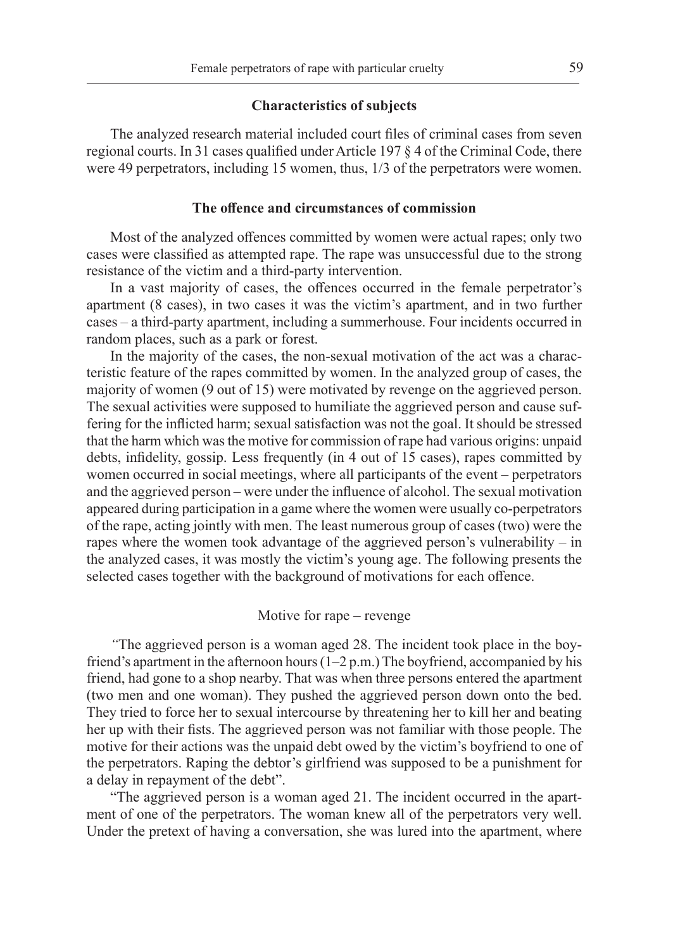#### **Characteristics of subjects**

The analyzed research material included court files of criminal cases from seven regional courts. In 31 cases qualified under Article 197 § 4 of the Criminal Code, there were 49 perpetrators, including 15 women, thus, 1/3 of the perpetrators were women.

#### **The offence and circumstances of commission**

Most of the analyzed offences committed by women were actual rapes; only two cases were classified as attempted rape. The rape was unsuccessful due to the strong resistance of the victim and a third-party intervention.

In a vast majority of cases, the offences occurred in the female perpetrator's apartment (8 cases), in two cases it was the victim's apartment, and in two further cases – a third-party apartment, including a summerhouse. Four incidents occurred in random places, such as a park or forest.

In the majority of the cases, the non-sexual motivation of the act was a characteristic feature of the rapes committed by women. In the analyzed group of cases, the majority of women (9 out of 15) were motivated by revenge on the aggrieved person. The sexual activities were supposed to humiliate the aggrieved person and cause suffering for the inflicted harm; sexual satisfaction was not the goal. It should be stressed that the harm which was the motive for commission of rape had various origins: unpaid debts, infidelity, gossip. Less frequently (in 4 out of 15 cases), rapes committed by women occurred in social meetings, where all participants of the event – perpetrators and the aggrieved person – were under the influence of alcohol. The sexual motivation appeared during participation in a game where the women were usually co-perpetrators of the rape, acting jointly with men. The least numerous group of cases (two) were the rapes where the women took advantage of the aggrieved person's vulnerability – in the analyzed cases, it was mostly the victim's young age. The following presents the selected cases together with the background of motivations for each offence.

### Motive for rape – revenge

*"*The aggrieved person is a woman aged 28. The incident took place in the boyfriend's apartment in the afternoon hours  $(1-2 p.m.)$  The boyfriend, accompanied by his friend, had gone to a shop nearby. That was when three persons entered the apartment (two men and one woman). They pushed the aggrieved person down onto the bed. They tried to force her to sexual intercourse by threatening her to kill her and beating her up with their fists. The aggrieved person was not familiar with those people. The motive for their actions was the unpaid debt owed by the victim's boyfriend to one of the perpetrators. Raping the debtor's girlfriend was supposed to be a punishment for a delay in repayment of the debt".

"The aggrieved person is a woman aged 21. The incident occurred in the apartment of one of the perpetrators. The woman knew all of the perpetrators very well. Under the pretext of having a conversation, she was lured into the apartment, where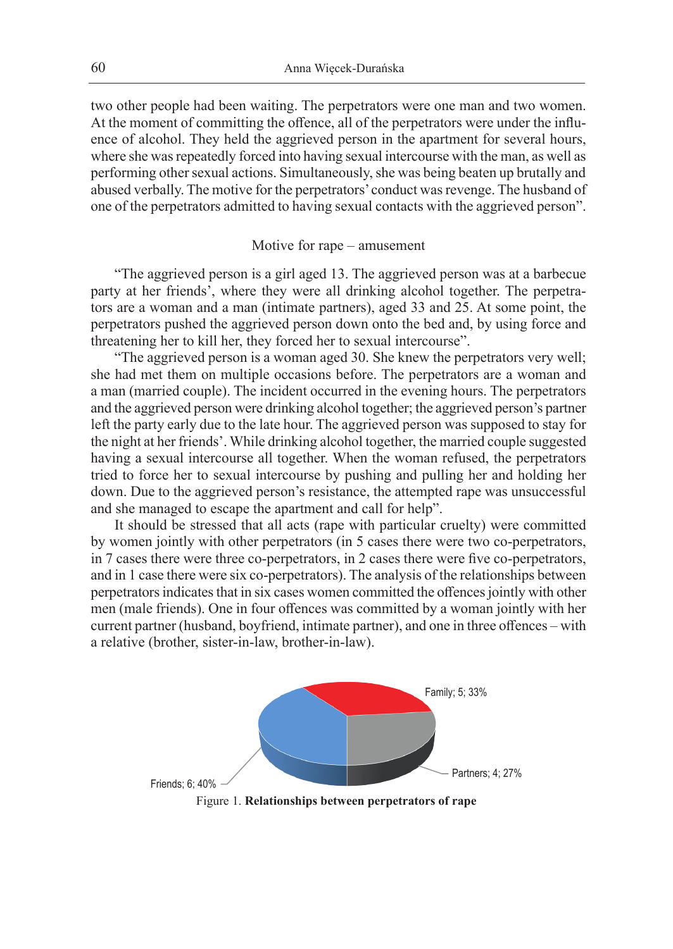two other people had been waiting. The perpetrators were one man and two women. At the moment of committing the offence, all of the perpetrators were under the influence of alcohol. They held the aggrieved person in the apartment for several hours, where she was repeatedly forced into having sexual intercourse with the man, as well as performing other sexual actions. Simultaneously, she was being beaten up brutally and abused verbally. The motive for the perpetrators' conduct was revenge. The husband of one of the perpetrators admitted to having sexual contacts with the aggrieved person".

#### Motive for rape – amusement

"The aggrieved person is a girl aged 13. The aggrieved person was at a barbecue party at her friends', where they were all drinking alcohol together. The perpetrators are a woman and a man (intimate partners), aged 33 and 25. At some point, the perpetrators pushed the aggrieved person down onto the bed and, by using force and threatening her to kill her, they forced her to sexual intercourse".

"The aggrieved person is a woman aged 30. She knew the perpetrators very well; she had met them on multiple occasions before. The perpetrators are a woman and a man (married couple). The incident occurred in the evening hours. The perpetrators and the aggrieved person were drinking alcohol together; the aggrieved person's partner left the party early due to the late hour. The aggrieved person was supposed to stay for the night at her friends'. While drinking alcohol together, the married couple suggested having a sexual intercourse all together. When the woman refused, the perpetrators tried to force her to sexual intercourse by pushing and pulling her and holding her down. Due to the aggrieved person's resistance, the attempted rape was unsuccessful and she managed to escape the apartment and call for help".

It should be stressed that all acts (rape with particular cruelty) were committed by women jointly with other perpetrators (in 5 cases there were two co-perpetrators, in 7 cases there were three co-perpetrators, in 2 cases there were five co-perpetrators, and in 1 case there were six co-perpetrators). The analysis of the relationships between perpetrators indicates that in six cases women committed the offences jointly with other men (male friends). One in four offences was committed by a woman jointly with her current partner (husband, boyfriend, intimate partner), and one in three offences – with a relative (brother, sister-in-law, brother-in-law).



Figure 1. **Relationships between perpetrators of rape**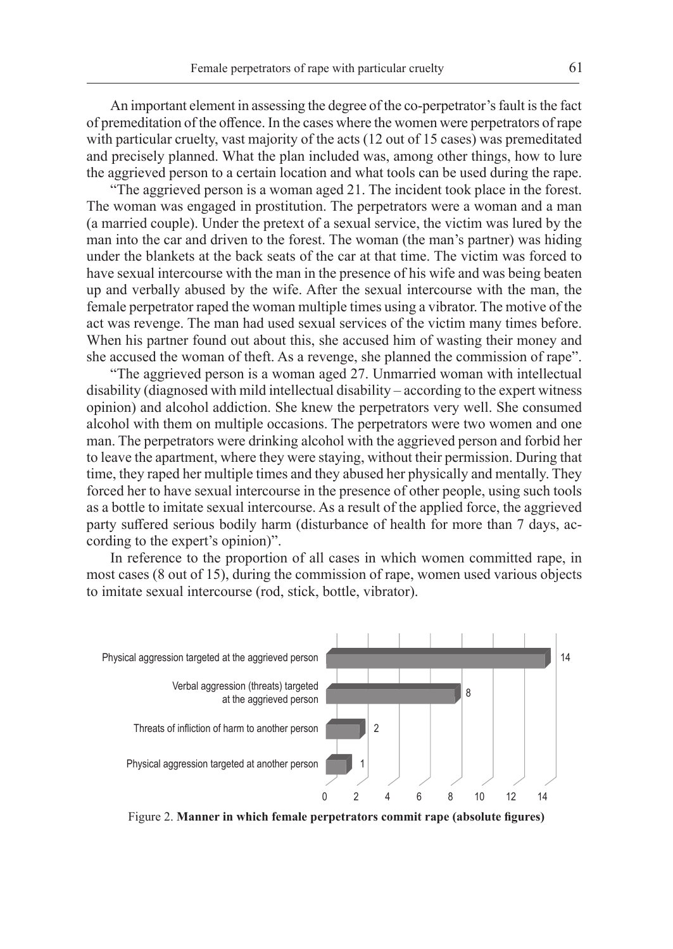An important element in assessing the degree of the co-perpetrator's fault is the fact of premeditation of the offence. In the cases where the women were perpetrators of rape with particular cruelty, vast majority of the acts (12 out of 15 cases) was premeditated and precisely planned. What the plan included was, among other things, how to lure the aggrieved person to a certain location and what tools can be used during the rape.

"The aggrieved person is a woman aged 21. The incident took place in the forest. The woman was engaged in prostitution. The perpetrators were a woman and a man (a married couple). Under the pretext of a sexual service, the victim was lured by the man into the car and driven to the forest. The woman (the man's partner) was hiding under the blankets at the back seats of the car at that time. The victim was forced to have sexual intercourse with the man in the presence of his wife and was being beaten up and verbally abused by the wife. After the sexual intercourse with the man, the female perpetrator raped the woman multiple times using a vibrator. The motive of the act was revenge. The man had used sexual services of the victim many times before. When his partner found out about this, she accused him of wasting their money and she accused the woman of theft. As a revenge, she planned the commission of rape".

"The aggrieved person is a woman aged 27. Unmarried woman with intellectual disability (diagnosed with mild intellectual disability – according to the expert witness opinion) and alcohol addiction. She knew the perpetrators very well. She consumed alcohol with them on multiple occasions. The perpetrators were two women and one man. The perpetrators were drinking alcohol with the aggrieved person and forbid her to leave the apartment, where they were staying, without their permission. During that time, they raped her multiple times and they abused her physically and mentally. They forced her to have sexual intercourse in the presence of other people, using such tools as a bottle to imitate sexual intercourse. As a result of the applied force, the aggrieved party suffered serious bodily harm (disturbance of health for more than 7 days, according to the expert's opinion)".

In reference to the proportion of all cases in which women committed rape, in most cases (8 out of 15), during the commission of rape, women used various objects to imitate sexual intercourse (rod, stick, bottle, vibrator).



Figure 2. **Manner in which female perpetrators commit rape (absolute figures)**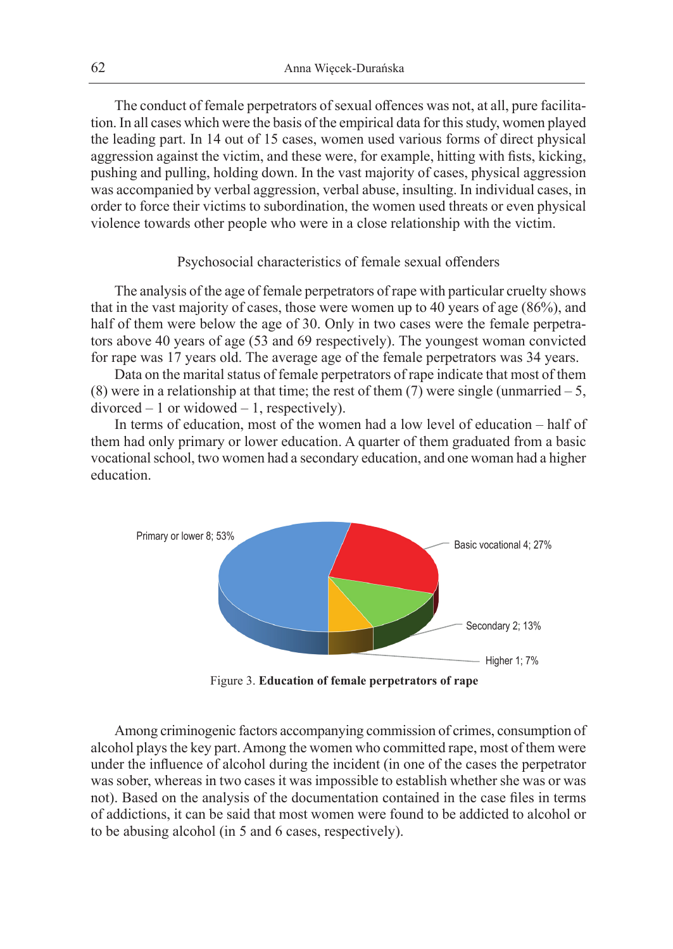The conduct of female perpetrators of sexual offences was not, at all, pure facilitation. In all cases which were the basis of the empirical data for this study, women played the leading part. In 14 out of 15 cases, women used various forms of direct physical aggression against the victim, and these were, for example, hitting with fists, kicking, pushing and pulling, holding down. In the vast majority of cases, physical aggression was accompanied by verbal aggression, verbal abuse, insulting. In individual cases, in order to force their victims to subordination, the women used threats or even physical violence towards other people who were in a close relationship with the victim.

#### Psychosocial characteristics of female sexual offenders

The analysis of the age of female perpetrators of rape with particular cruelty shows that in the vast majority of cases, those were women up to 40 years of age (86%), and half of them were below the age of 30. Only in two cases were the female perpetrators above 40 years of age (53 and 69 respectively). The youngest woman convicted for rape was 17 years old. The average age of the female perpetrators was 34 years.

Data on the marital status of female perpetrators of rape indicate that most of them (8) were in a relationship at that time; the rest of them  $(7)$  were single (unmarried  $-5$ ,  $divorced - 1$  or widowed  $- 1$ , respectively).

In terms of education, most of the women had a low level of education – half of them had only primary or lower education. A quarter of them graduated from a basic vocational school, two women had a secondary education, and one woman had a higher education.



Figure 3. **Education of female perpetrators of rape**

Among criminogenic factors accompanying commission of crimes, consumption of alcohol plays the key part. Among the women who committed rape, most of them were under the influence of alcohol during the incident (in one of the cases the perpetrator was sober, whereas in two cases it was impossible to establish whether she was or was not). Based on the analysis of the documentation contained in the case files in terms of addictions, it can be said that most women were found to be addicted to alcohol or to be abusing alcohol (in 5 and 6 cases, respectively).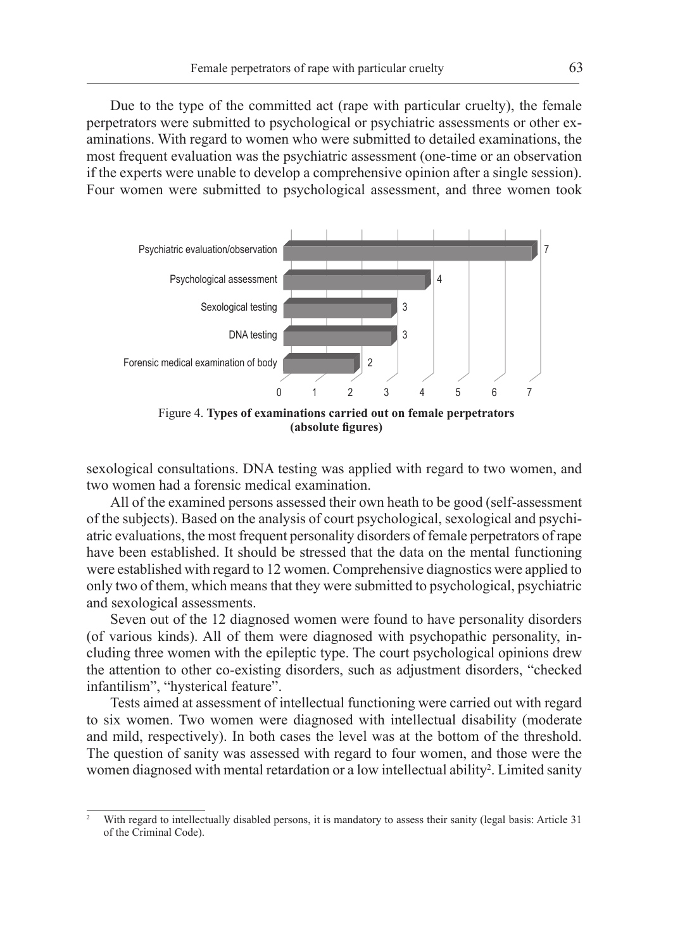Due to the type of the committed act (rape with particular cruelty), the female perpetrators were submitted to psychological or psychiatric assessments or other examinations. With regard to women who were submitted to detailed examinations, the most frequent evaluation was the psychiatric assessment (one-time or an observation if the experts were unable to develop a comprehensive opinion after a single session). Four women were submitted to psychological assessment, and three women took



Figure 4. **Types of examinations carried out on female perpetrators (absolute figures)**

sexological consultations. DNA testing was applied with regard to two women, and two women had a forensic medical examination.

All of the examined persons assessed their own heath to be good (self-assessment of the subjects). Based on the analysis of court psychological, sexological and psychiatric evaluations, the most frequent personality disorders of female perpetrators of rape have been established. It should be stressed that the data on the mental functioning were established with regard to 12 women. Comprehensive diagnostics were applied to only two of them, which means that they were submitted to psychological, psychiatric and sexological assessments.

Seven out of the 12 diagnosed women were found to have personality disorders (of various kinds). All of them were diagnosed with psychopathic personality, including three women with the epileptic type. The court psychological opinions drew the attention to other co-existing disorders, such as adjustment disorders, "checked infantilism", "hysterical feature".

Tests aimed at assessment of intellectual functioning were carried out with regard to six women. Two women were diagnosed with intellectual disability (moderate and mild, respectively). In both cases the level was at the bottom of the threshold. The question of sanity was assessed with regard to four women, and those were the women diagnosed with mental retardation or a low intellectual ability<sup>2</sup>. Limited sanity

<sup>2</sup> With regard to intellectually disabled persons, it is mandatory to assess their sanity (legal basis: Article 31 of the Criminal Code).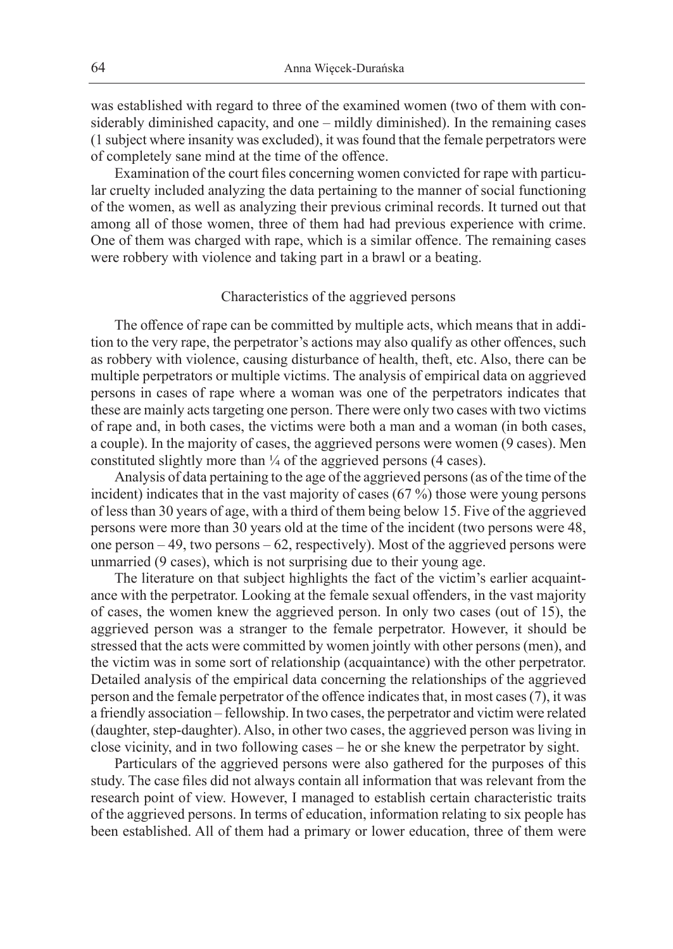was established with regard to three of the examined women (two of them with considerably diminished capacity, and one – mildly diminished). In the remaining cases (1 subject where insanity was excluded), it was found that the female perpetrators were of completely sane mind at the time of the offence.

Examination of the court files concerning women convicted for rape with particular cruelty included analyzing the data pertaining to the manner of social functioning of the women, as well as analyzing their previous criminal records. It turned out that among all of those women, three of them had had previous experience with crime. One of them was charged with rape, which is a similar offence. The remaining cases were robbery with violence and taking part in a brawl or a beating.

#### Characteristics of the aggrieved persons

The offence of rape can be committed by multiple acts, which means that in addition to the very rape, the perpetrator's actions may also qualify as other offences, such as robbery with violence, causing disturbance of health, theft, etc. Also, there can be multiple perpetrators or multiple victims. The analysis of empirical data on aggrieved persons in cases of rape where a woman was one of the perpetrators indicates that these are mainly acts targeting one person. There were only two cases with two victims of rape and, in both cases, the victims were both a man and a woman (in both cases, a couple). In the majority of cases, the aggrieved persons were women (9 cases). Men constituted slightly more than  $\frac{1}{4}$  of the aggrieved persons (4 cases).

Analysis of data pertaining to the age of the aggrieved persons (as of the time of the incident) indicates that in the vast majority of cases (67 %) those were young persons of less than 30 years of age, with a third of them being below 15. Five of the aggrieved persons were more than 30 years old at the time of the incident (two persons were 48, one person – 49, two persons – 62, respectively). Most of the aggrieved persons were unmarried (9 cases), which is not surprising due to their young age.

The literature on that subject highlights the fact of the victim's earlier acquaintance with the perpetrator. Looking at the female sexual offenders, in the vast majority of cases, the women knew the aggrieved person. In only two cases (out of 15), the aggrieved person was a stranger to the female perpetrator. However, it should be stressed that the acts were committed by women jointly with other persons (men), and the victim was in some sort of relationship (acquaintance) with the other perpetrator. Detailed analysis of the empirical data concerning the relationships of the aggrieved person and the female perpetrator of the offence indicates that, in most cases (7), it was a friendly association – fellowship. In two cases, the perpetrator and victim were related (daughter, step-daughter). Also, in other two cases, the aggrieved person was living in close vicinity, and in two following cases – he or she knew the perpetrator by sight.

Particulars of the aggrieved persons were also gathered for the purposes of this study. The case files did not always contain all information that was relevant from the research point of view. However, I managed to establish certain characteristic traits of the aggrieved persons. In terms of education, information relating to six people has been established. All of them had a primary or lower education, three of them were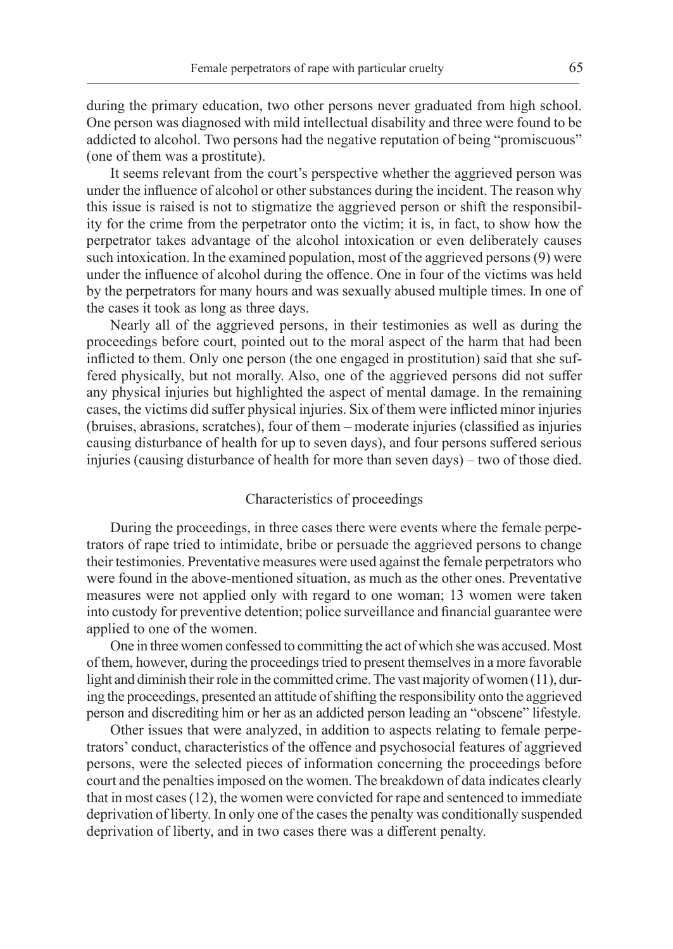during the primary education, two other persons never graduated from high school. One person was diagnosed with mild intellectual disability and three were found to be addicted to alcohol. Two persons had the negative reputation of being "promiscuous" (one of them was a prostitute).

It seems relevant from the court's perspective whether the aggrieved person was under the influence of alcohol or other substances during the incident. The reason why this issue is raised is not to stigmatize the aggrieved person or shift the responsibility for the crime from the perpetrator onto the victim; it is, in fact, to show how the perpetrator takes advantage of the alcohol intoxication or even deliberately causes such intoxication. In the examined population, most of the aggrieved persons (9) were under the influence of alcohol during the offence. One in four of the victims was held by the perpetrators for many hours and was sexually abused multiple times. In one of the cases it took as long as three days.

Nearly all of the aggrieved persons, in their testimonies as well as during the proceedings before court, pointed out to the moral aspect of the harm that had been inflicted to them. Only one person (the one engaged in prostitution) said that she suffered physically, but not morally. Also, one of the aggrieved persons did not suffer any physical injuries but highlighted the aspect of mental damage. In the remaining cases, the victims did suffer physical injuries. Six of them were inflicted minor injuries (bruises, abrasions, scratches), four of them – moderate injuries (classified as injuries causing disturbance of health for up to seven days), and four persons suffered serious injuries (causing disturbance of health for more than seven days) – two of those died.

#### Characteristics of proceedings

During the proceedings, in three cases there were events where the female perpetrators of rape tried to intimidate, bribe or persuade the aggrieved persons to change their testimonies. Preventative measures were used against the female perpetrators who were found in the above-mentioned situation, as much as the other ones. Preventative measures were not applied only with regard to one woman; 13 women were taken into custody for preventive detention; police surveillance and financial guarantee were applied to one of the women.

One in three women confessed to committing the act of which she was accused. Most of them, however, during the proceedings tried to present themselves in a more favorable light and diminish their role in the committed crime. The vast majority of women (11), during the proceedings, presented an attitude of shifting the responsibility onto the aggrieved person and discrediting him or her as an addicted person leading an "obscene" lifestyle.

Other issues that were analyzed, in addition to aspects relating to female perpetrators' conduct, characteristics of the offence and psychosocial features of aggrieved persons, were the selected pieces of information concerning the proceedings before court and the penalties imposed on the women. The breakdown of data indicates clearly that in most cases (12), the women were convicted for rape and sentenced to immediate deprivation of liberty. In only one of the cases the penalty was conditionally suspended deprivation of liberty, and in two cases there was a different penalty.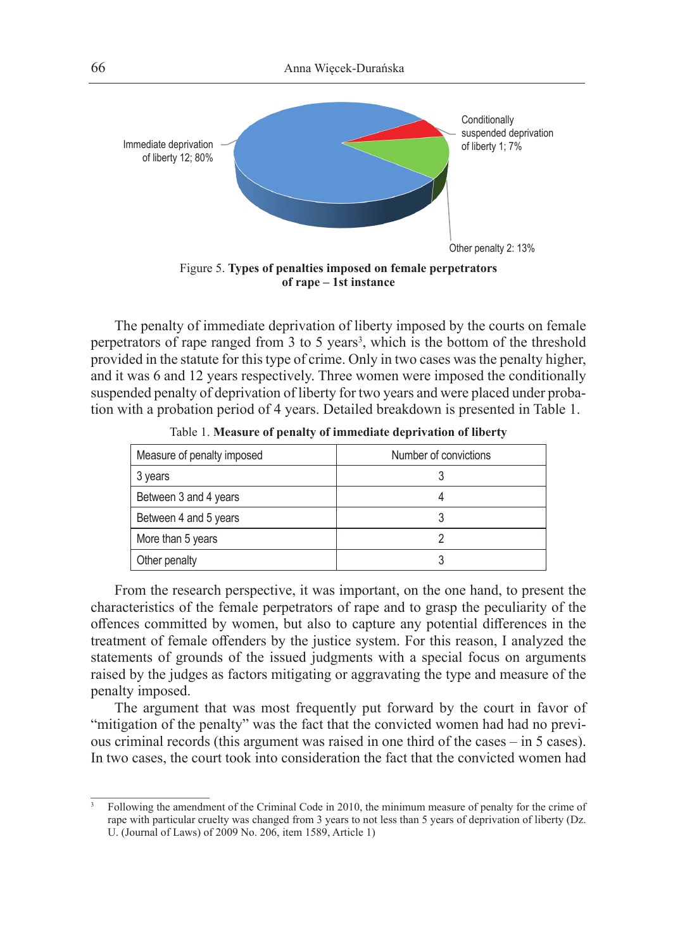

The penalty of immediate deprivation of liberty imposed by the courts on female perpetrators of rape ranged from 3 to 5 years<sup>3</sup>, which is the bottom of the threshold provided in the statute for this type of crime. Only in two cases was the penalty higher, and it was 6 and 12 years respectively. Three women were imposed the conditionally suspended penalty of deprivation of liberty for two years and were placed under probation with a probation period of 4 years. Detailed breakdown is presented in Table 1.

| Measure of penalty imposed | Number of convictions |
|----------------------------|-----------------------|
| 3 years                    |                       |
| Between 3 and 4 years      |                       |
| Between 4 and 5 years      |                       |
| More than 5 years          |                       |
| Other penalty              |                       |

Table 1. **Measure of penalty of immediate deprivation of liberty**

From the research perspective, it was important, on the one hand, to present the characteristics of the female perpetrators of rape and to grasp the peculiarity of the offences committed by women, but also to capture any potential differences in the treatment of female offenders by the justice system. For this reason, I analyzed the statements of grounds of the issued judgments with a special focus on arguments raised by the judges as factors mitigating or aggravating the type and measure of the penalty imposed.

The argument that was most frequently put forward by the court in favor of "mitigation of the penalty" was the fact that the convicted women had had no previous criminal records (this argument was raised in one third of the cases – in 5 cases). In two cases, the court took into consideration the fact that the convicted women had

<sup>3</sup> Following the amendment of the Criminal Code in 2010, the minimum measure of penalty for the crime of rape with particular cruelty was changed from 3 years to not less than 5 years of deprivation of liberty (Dz. U. (Journal of Laws) of 2009 No. 206, item 1589, Article 1)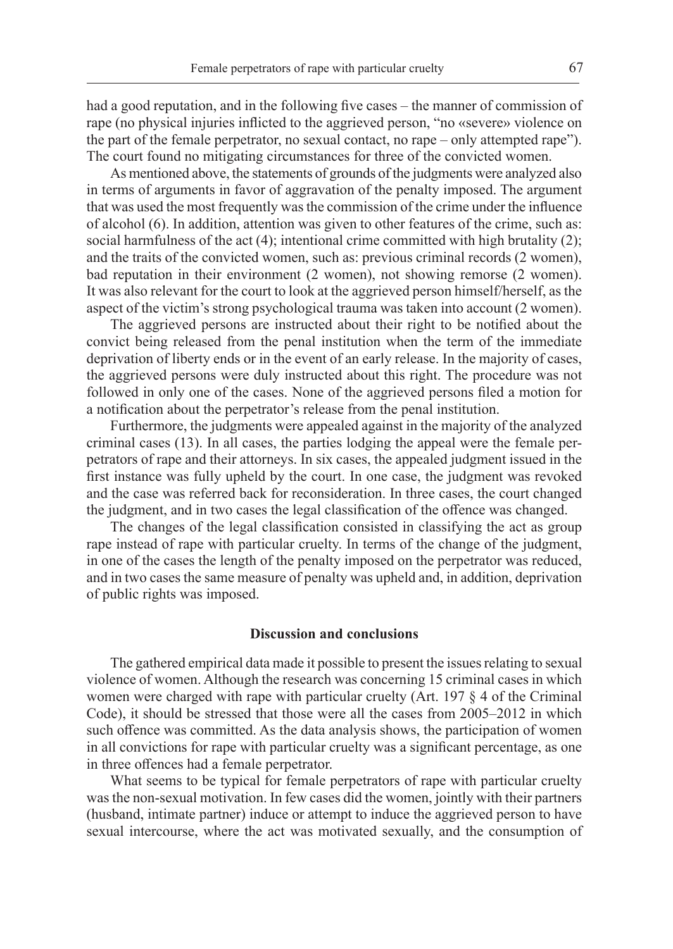had a good reputation, and in the following five cases – the manner of commission of rape (no physical injuries inflicted to the aggrieved person, "no «severe» violence on the part of the female perpetrator, no sexual contact, no rape – only attempted rape"). The court found no mitigating circumstances for three of the convicted women.

As mentioned above, the statements of grounds of the judgments were analyzed also in terms of arguments in favor of aggravation of the penalty imposed. The argument that was used the most frequently was the commission of the crime under the influence of alcohol (6). In addition, attention was given to other features of the crime, such as: social harmfulness of the act  $(4)$ ; intentional crime committed with high brutality  $(2)$ ; and the traits of the convicted women, such as: previous criminal records (2 women), bad reputation in their environment (2 women), not showing remorse (2 women). It was also relevant for the court to look at the aggrieved person himself/herself, as the aspect of the victim's strong psychological trauma was taken into account (2 women).

The aggrieved persons are instructed about their right to be notified about the convict being released from the penal institution when the term of the immediate deprivation of liberty ends or in the event of an early release. In the majority of cases, the aggrieved persons were duly instructed about this right. The procedure was not followed in only one of the cases. None of the aggrieved persons filed a motion for a notification about the perpetrator's release from the penal institution.

Furthermore, the judgments were appealed against in the majority of the analyzed criminal cases (13). In all cases, the parties lodging the appeal were the female perpetrators of rape and their attorneys. In six cases, the appealed judgment issued in the first instance was fully upheld by the court. In one case, the judgment was revoked and the case was referred back for reconsideration. In three cases, the court changed the judgment, and in two cases the legal classification of the offence was changed.

The changes of the legal classification consisted in classifying the act as group rape instead of rape with particular cruelty. In terms of the change of the judgment, in one of the cases the length of the penalty imposed on the perpetrator was reduced, and in two cases the same measure of penalty was upheld and, in addition, deprivation of public rights was imposed.

#### **Discussion and conclusions**

The gathered empirical data made it possible to present the issues relating to sexual violence of women. Although the research was concerning 15 criminal cases in which women were charged with rape with particular cruelty (Art. 197 § 4 of the Criminal Code), it should be stressed that those were all the cases from 2005–2012 in which such offence was committed. As the data analysis shows, the participation of women in all convictions for rape with particular cruelty was a significant percentage, as one in three offences had a female perpetrator.

What seems to be typical for female perpetrators of rape with particular cruelty was the non-sexual motivation. In few cases did the women, jointly with their partners (husband, intimate partner) induce or attempt to induce the aggrieved person to have sexual intercourse, where the act was motivated sexually, and the consumption of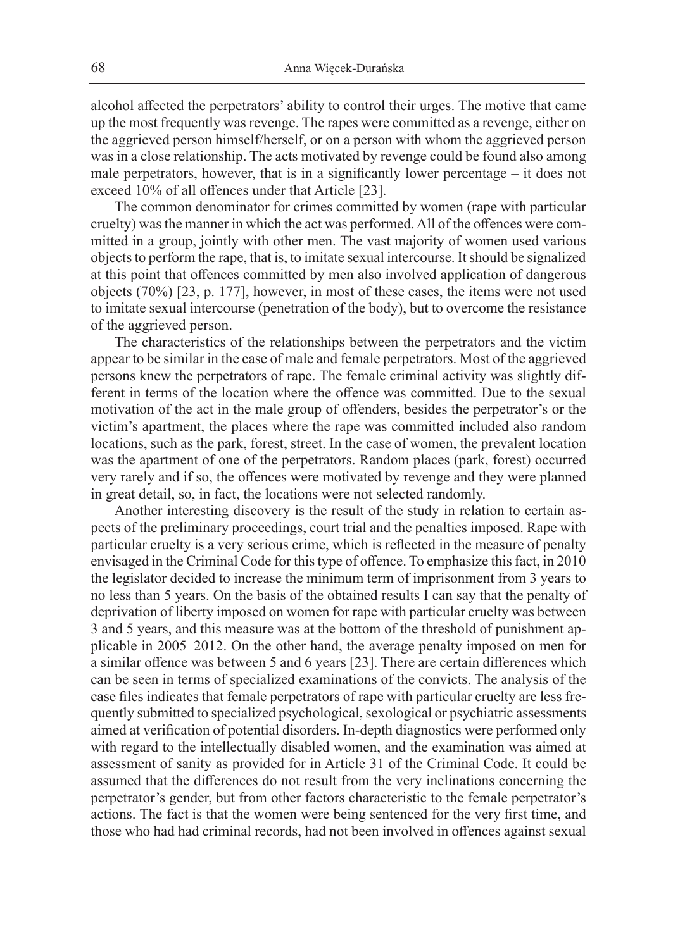alcohol affected the perpetrators' ability to control their urges. The motive that came up the most frequently was revenge. The rapes were committed as a revenge, either on the aggrieved person himself/herself, or on a person with whom the aggrieved person was in a close relationship. The acts motivated by revenge could be found also among male perpetrators, however, that is in a significantly lower percentage – it does not exceed 10% of all offences under that Article [23].

The common denominator for crimes committed by women (rape with particular cruelty) was the manner in which the act was performed. All of the offences were committed in a group, jointly with other men. The vast majority of women used various objects to perform the rape, that is, to imitate sexual intercourse. It should be signalized at this point that offences committed by men also involved application of dangerous objects (70%) [23, p. 177], however, in most of these cases, the items were not used to imitate sexual intercourse (penetration of the body), but to overcome the resistance of the aggrieved person.

The characteristics of the relationships between the perpetrators and the victim appear to be similar in the case of male and female perpetrators. Most of the aggrieved persons knew the perpetrators of rape. The female criminal activity was slightly different in terms of the location where the offence was committed. Due to the sexual motivation of the act in the male group of offenders, besides the perpetrator's or the victim's apartment, the places where the rape was committed included also random locations, such as the park, forest, street. In the case of women, the prevalent location was the apartment of one of the perpetrators. Random places (park, forest) occurred very rarely and if so, the offences were motivated by revenge and they were planned in great detail, so, in fact, the locations were not selected randomly.

Another interesting discovery is the result of the study in relation to certain aspects of the preliminary proceedings, court trial and the penalties imposed. Rape with particular cruelty is a very serious crime, which is reflected in the measure of penalty envisaged in the Criminal Code for this type of offence. To emphasize this fact, in 2010 the legislator decided to increase the minimum term of imprisonment from 3 years to no less than 5 years. On the basis of the obtained results I can say that the penalty of deprivation of liberty imposed on women for rape with particular cruelty was between 3 and 5 years, and this measure was at the bottom of the threshold of punishment applicable in 2005–2012. On the other hand, the average penalty imposed on men for a similar offence was between 5 and 6 years [23]. There are certain differences which can be seen in terms of specialized examinations of the convicts. The analysis of the case files indicates that female perpetrators of rape with particular cruelty are less frequently submitted to specialized psychological, sexological or psychiatric assessments aimed at verification of potential disorders. In-depth diagnostics were performed only with regard to the intellectually disabled women, and the examination was aimed at assessment of sanity as provided for in Article 31 of the Criminal Code. It could be assumed that the differences do not result from the very inclinations concerning the perpetrator's gender, but from other factors characteristic to the female perpetrator's actions. The fact is that the women were being sentenced for the very first time, and those who had had criminal records, had not been involved in offences against sexual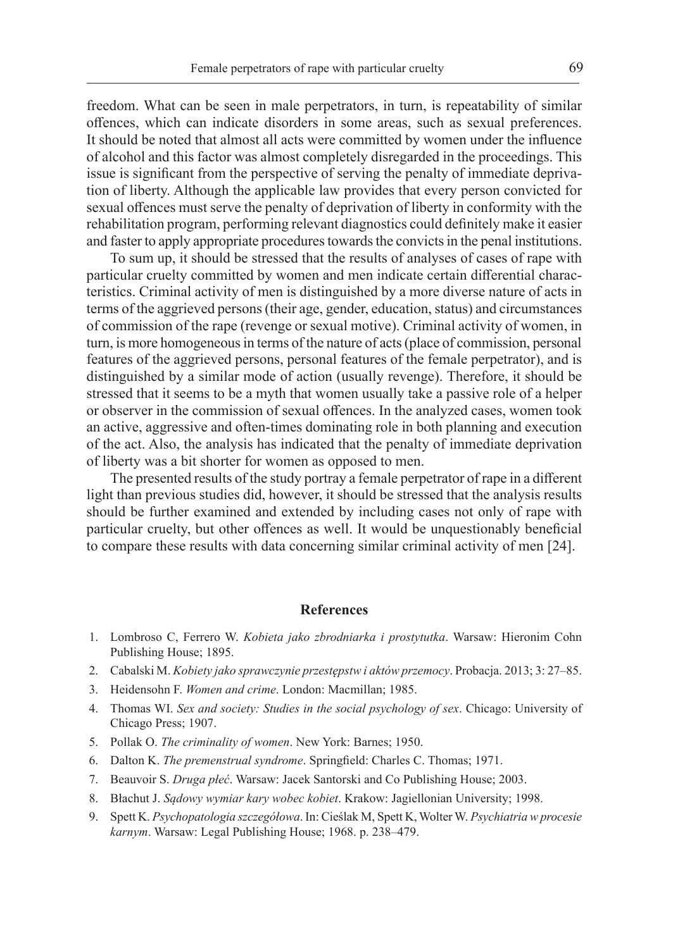freedom. What can be seen in male perpetrators, in turn, is repeatability of similar offences, which can indicate disorders in some areas, such as sexual preferences. It should be noted that almost all acts were committed by women under the influence of alcohol and this factor was almost completely disregarded in the proceedings. This issue is significant from the perspective of serving the penalty of immediate deprivation of liberty. Although the applicable law provides that every person convicted for sexual offences must serve the penalty of deprivation of liberty in conformity with the rehabilitation program, performing relevant diagnostics could definitely make it easier and faster to apply appropriate procedures towards the convicts in the penal institutions.

To sum up, it should be stressed that the results of analyses of cases of rape with particular cruelty committed by women and men indicate certain differential characteristics. Criminal activity of men is distinguished by a more diverse nature of acts in terms of the aggrieved persons (their age, gender, education, status) and circumstances of commission of the rape (revenge or sexual motive). Criminal activity of women, in turn, is more homogeneous in terms of the nature of acts (place of commission, personal features of the aggrieved persons, personal features of the female perpetrator), and is distinguished by a similar mode of action (usually revenge). Therefore, it should be stressed that it seems to be a myth that women usually take a passive role of a helper or observer in the commission of sexual offences. In the analyzed cases, women took an active, aggressive and often-times dominating role in both planning and execution of the act. Also, the analysis has indicated that the penalty of immediate deprivation of liberty was a bit shorter for women as opposed to men.

The presented results of the study portray a female perpetrator of rape in a different light than previous studies did, however, it should be stressed that the analysis results should be further examined and extended by including cases not only of rape with particular cruelty, but other offences as well. It would be unquestionably beneficial to compare these results with data concerning similar criminal activity of men [24].

#### **References**

- 1. Lombroso C, Ferrero W. *Kobieta jako zbrodniarka i prostytutka*. Warsaw: Hieronim Cohn Publishing House; 1895.
- 2. Cabalski M. *Kobiety jako sprawczynie przestępstw i aktów przemocy*. Probacja. 2013; 3: 27–85.
- 3. Heidensohn F. *Women and crime*. London: Macmillan; 1985.
- 4. Thomas WI. *Sex and society: Studies in the social psychology of sex*. Chicago: University of Chicago Press; 1907.
- 5. Pollak O. *The criminality of women*. New York: Barnes; 1950.
- 6. Dalton K. *The premenstrual syndrome*. Springfield: Charles C. Thomas; 1971.
- 7. Beauvoir S. *Druga płeć*. Warsaw: Jacek Santorski and Co Publishing House; 2003.
- 8. Błachut J. *Sądowy wymiar kary wobec kobiet*. Krakow: Jagiellonian University; 1998.
- 9. Spett K. *Psychopatologia szczegółowa*. In: Cieślak M, Spett K, Wolter W. *Psychiatria w procesie karnym*. Warsaw: Legal Publishing House; 1968. p. 238–479.